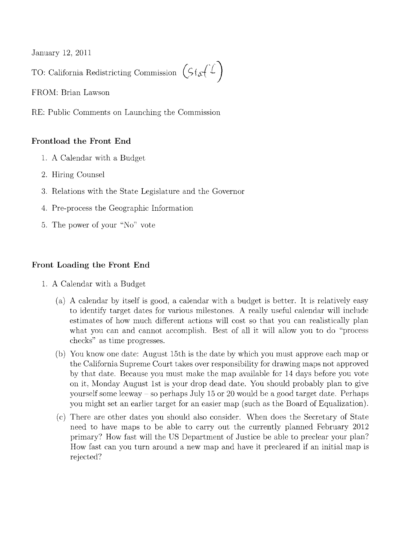January 12, 2011

TO: California Redistricting Commission  $(Sf_{\alpha}(L))$ 

FROM: Brian Lawson

RE: Public Comments on Launching the Commission

## **Frontload the Front End**

- 1. A Calendar with a Budget
- 2. Hiring Counsel
- 3. Relations with the State Legislature and the Governor
- 4. Pre-process the Geographic Information
- 5. The power of your "No" vote

## **Front Loading the Front End**

- 1. A Calendar with a Budget
	- (a) A calendar by itself is good, a calendar with a budget is better. It is relatively easy to identify target dates for various milestones. A really useful calendar will include estimates of how much different actions will cost so that you can realistically plan what you can and cannot accomplish. Best of all it will allow you to do "process checks" as time progresses.
	- (b) You know one date: August 15th is the date by which you must approve each map or the California Supreme Court takes over responsibility for drawing maps not approved by that date. Because you must make the map available for 14 days before you vote on it, Monday August 1st is your drop dead date. You should probably plan to give yourself some leeway - so perhaps July 15 or 20 would be a good target date. Perhaps you might set an earlier target for an easier map (such as the Board of Equalization).
	- (c) There are other dates you should also consider. When does the Secretary of State need to have maps to be able to carry out the currently planned February 2012 primary? How fast will the US Department of Justice be able to preclear your plan? How fast can you turn around a new map and have it precleared if an initial map is rejected?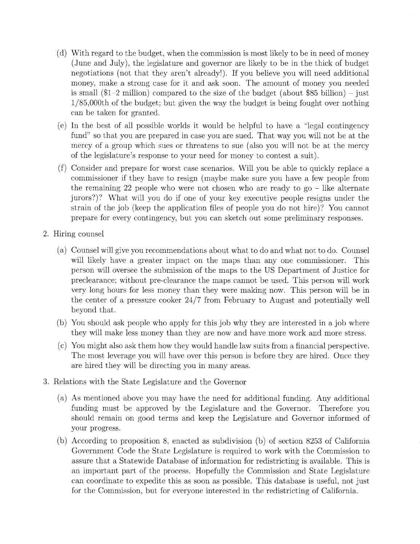- (d) With regard to the budget, when the commission is most likely to be in need of money (June and July), the legislature and governor are likely to be in the thick of budget negotiations (not that they aren't already!). If you believe you will need additional money, make a strong case for it and ask soon. The amount of money you needed is small  $(\$1-2 \text{ million})$  compared to the size of the budget (about \$85 billion) – just 1/85,OOOth of the budget; but given the way the budget is being fought over nothing can be taken for granted.
- (e) **In** the best of all possible worlds it would be helpful to have a "legal contingency fund" so that you are prepared in case you are sued. That way you will not be at the mercy of a group which sues or threatens to sue (also you will not be at the mercy of the legislature's response to your need for money to contest a suit).
- (f) Consider and prepare for worst case scenarios. Will you be able to quickly replace a commissioner if they have to resign (maybe make sure you have a few people from the remaining 22 people who were not chosen who are ready to go - like alternate jurors?)? What will you do if one of your key executive people resigns under the strain of the job (keep the application files of people you do not hire)? You cannot prepare for every contingency, but you can sketch out some preliminary responses.
- 2. Hiring counsel
	- (a) Counsel will give you recommendations about what to do and what not to do. Counsel will likely have a greater impact on the maps than any one commissioner. This person will oversee the submission of the maps to the US Department of Justice for preclearance; without pre-clearance the maps cannot be used. This person will work very long hours for less money than they were making now. This person will be in the center of a pressure cooker 24/7 from February to August and potentially well beyond that.
	- (b) You should ask people who apply for this job why they are interested in a job where they will make less money than they are now and have more work and more stress.
	- (c) You might also ask them how they would handle law suits from a financial perspective. The most leverage you will have over this person is before they are hired. Once they are hired they will be directing you in many areas.
- 3. Relations with the State Legislature and the Governor
	- (a) As mentioned above you may have the need for additional funding. Any additional funding must be approved by the Legislature and the Governor. Therefore you should remain on good terms and keep the Legislature and Governor informed of your progress.
	- (b) According to proposition 8, enacted as subdivision (b) of section 8253 of California Government Code the State Legislature is required to work with the Commission to assure that a Statewide Database of information for redistricting is available. This is an important part of the process. Hopefully the Commission and State Legislature can coordinate to expedite this as soon as possible. This database is useful, not just for the Commission, but for everyone interested in the redistricting of California.